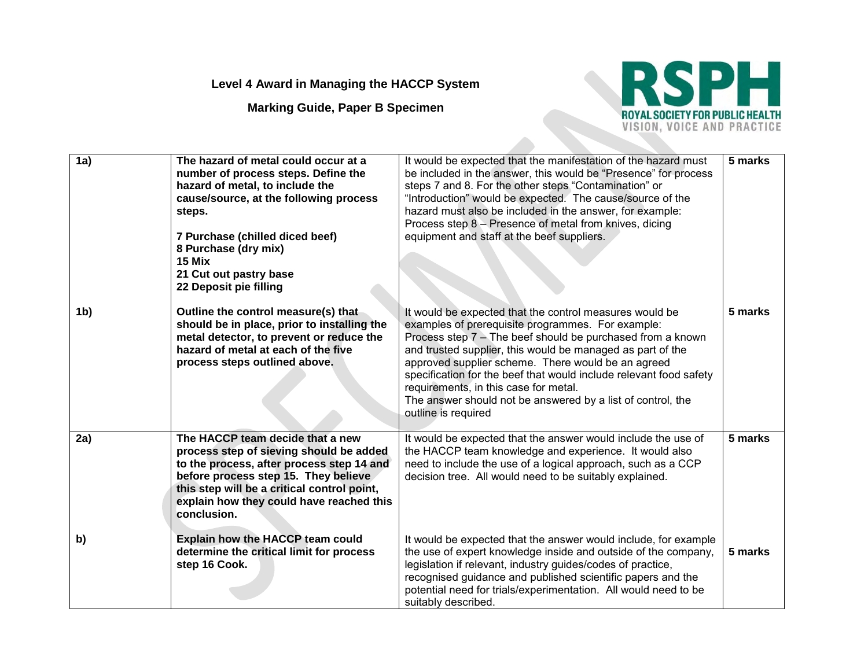## **Level 4 Award in Managing the HACCP System**

**Marking Guide, Paper B Specimen**



| 1a)            | The hazard of metal could occur at a<br>number of process steps. Define the<br>hazard of metal, to include the<br>cause/source, at the following process<br>steps.<br>7 Purchase (chilled diced beef)<br>8 Purchase (dry mix)<br>15 Mix<br>21 Cut out pastry base<br>22 Deposit pie filling | It would be expected that the manifestation of the hazard must<br>be included in the answer, this would be "Presence" for process<br>steps 7 and 8. For the other steps "Contamination" or<br>"Introduction" would be expected. The cause/source of the<br>hazard must also be included in the answer, for example:<br>Process step 8 - Presence of metal from knives, dicing<br>equipment and staff at the beef suppliers.                                                                           | 5 marks |
|----------------|---------------------------------------------------------------------------------------------------------------------------------------------------------------------------------------------------------------------------------------------------------------------------------------------|-------------------------------------------------------------------------------------------------------------------------------------------------------------------------------------------------------------------------------------------------------------------------------------------------------------------------------------------------------------------------------------------------------------------------------------------------------------------------------------------------------|---------|
| 1 <sub>b</sub> | Outline the control measure(s) that<br>should be in place, prior to installing the<br>metal detector, to prevent or reduce the<br>hazard of metal at each of the five<br>process steps outlined above.                                                                                      | It would be expected that the control measures would be<br>examples of prerequisite programmes. For example:<br>Process step $7 -$ The beef should be purchased from a known<br>and trusted supplier, this would be managed as part of the<br>approved supplier scheme. There would be an agreed<br>specification for the beef that would include relevant food safety<br>requirements, in this case for metal.<br>The answer should not be answered by a list of control, the<br>outline is required | 5 marks |
| 2a)            | The HACCP team decide that a new<br>process step of sieving should be added<br>to the process, after process step 14 and<br>before process step 15. They believe<br>this step will be a critical control point,<br>explain how they could have reached this<br>conclusion.                  | It would be expected that the answer would include the use of<br>the HACCP team knowledge and experience. It would also<br>need to include the use of a logical approach, such as a CCP<br>decision tree. All would need to be suitably explained.                                                                                                                                                                                                                                                    | 5 marks |
| b)             | Explain how the HACCP team could<br>determine the critical limit for process<br>step 16 Cook.                                                                                                                                                                                               | It would be expected that the answer would include, for example<br>the use of expert knowledge inside and outside of the company,<br>legislation if relevant, industry guides/codes of practice,<br>recognised guidance and published scientific papers and the<br>potential need for trials/experimentation. All would need to be<br>suitably described.                                                                                                                                             | 5 marks |